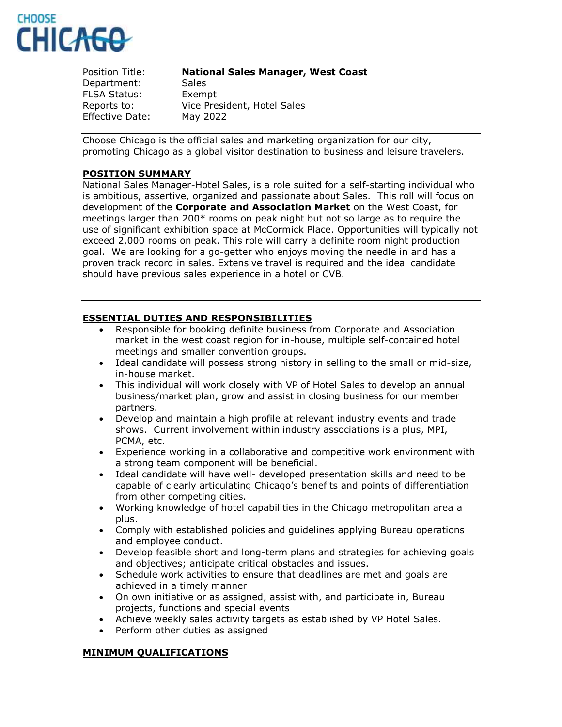

#### Position Title: **National Sales Manager, West Coast**

Department: Sales FLSA Status: Exempt Reports to: Vice President, Hotel Sales Effective Date: May 2022

Choose Chicago is the official sales and marketing organization for our city, promoting Chicago as a global visitor destination to business and leisure travelers.

# **POSITION SUMMARY**

National Sales Manager-Hotel Sales, is a role suited for a self-starting individual who is ambitious, assertive, organized and passionate about Sales. This roll will focus on development of the **Corporate and Association Market** on the West Coast, for meetings larger than 200\* rooms on peak night but not so large as to require the use of significant exhibition space at McCormick Place. Opportunities will typically not exceed 2,000 rooms on peak. This role will carry a definite room night production goal. We are looking for a go-getter who enjoys moving the needle in and has a proven track record in sales. Extensive travel is required and the ideal candidate should have previous sales experience in a hotel or CVB.

## **ESSENTIAL DUTIES AND RESPONSIBILITIES**

- Responsible for booking definite business from Corporate and Association market in the west coast region for in-house, multiple self-contained hotel meetings and smaller convention groups.
- Ideal candidate will possess strong history in selling to the small or mid-size, in-house market.
- This individual will work closely with VP of Hotel Sales to develop an annual business/market plan, grow and assist in closing business for our member partners.
- Develop and maintain a high profile at relevant industry events and trade shows. Current involvement within industry associations is a plus, MPI, PCMA, etc.
- Experience working in a collaborative and competitive work environment with a strong team component will be beneficial.
- Ideal candidate will have well- developed presentation skills and need to be capable of clearly articulating Chicago's benefits and points of differentiation from other competing cities.
- Working knowledge of hotel capabilities in the Chicago metropolitan area a plus.
- Comply with established policies and guidelines applying Bureau operations and employee conduct.
- Develop feasible short and long-term plans and strategies for achieving goals and objectives; anticipate critical obstacles and issues.
- Schedule work activities to ensure that deadlines are met and goals are achieved in a timely manner
- On own initiative or as assigned, assist with, and participate in, Bureau projects, functions and special events
- Achieve weekly sales activity targets as established by VP Hotel Sales.
- Perform other duties as assigned

#### **MINIMUM QUALIFICATIONS**